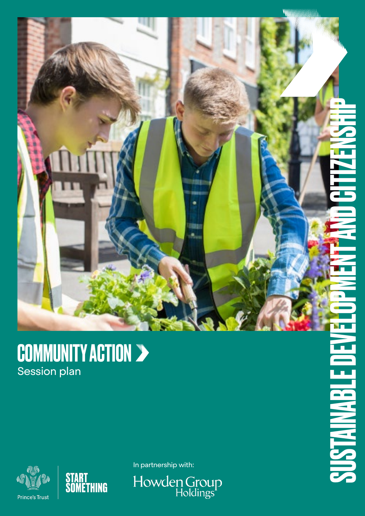

#### COMMUNITY ACTION Session plan





In partnership with:

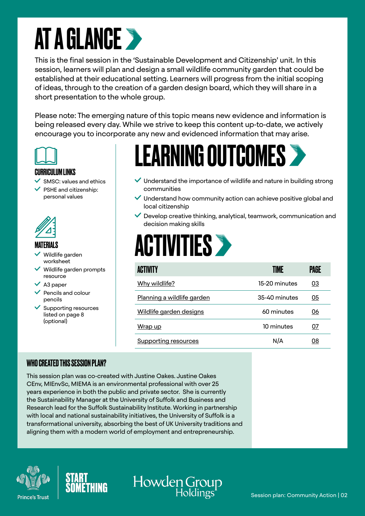# **AT A GLANCE >**

This is the final session in the 'Sustainable Development and Citizenship' unit. In this session, learners will plan and design a small wildlife community garden that could be established at their educational setting. Learners will progress from the initial scoping of ideas, through to the creation of a garden design board, which they will share in a short presentation to the whole group.

Please note: The emerging nature of this topic means new evidence and information is being released every day. While we strive to keep this content up-to-date, we actively encourage you to incorporate any new and evidenced information that may arise.



#### CURRICULUM LINKS

SMSC: values and ethics

 PSHE and citizenship: personal values



#### MATERIALS

- Wildlife garden worksheet
- Wildlife garden prompts resource
- A3 paper
- Pencils and colour pencils
- Supporting resources listed on page 8 (optional)



- $\vee$  Understand the importance of wildlife and nature in building strong communities
- $\vee$  Understand how community action can achieve positive global and local citizenship
- $\vee$  Develop creative thinking, analytical, teamwork, communication and decision making skills

## **ACTIVITIES >**

| <b>ACTIVITY</b>            | TIME          | <b>PAGE</b> |
|----------------------------|---------------|-------------|
| Why wildlife?              | 15-20 minutes | 03          |
| Planning a wildlife garden | 35-40 minutes | 05          |
| Wildlife garden designs    | 60 minutes    | 06          |
| Wrap up                    | 10 minutes    | 07          |
| Supporting resources       | N/A           | 08          |

#### WHO CREATED THIS SESSION PLAN?

This session plan was co-created with Justine Oakes. Justine Oakes CEnv, MIEnvSc, MIEMA is an environmental professional with over 25 years experience in both the public and private sector. She is currently the Sustainability Manager at the University of Suffolk and Business and Research lead for the Suffolk Sustainability Institute. Working in partnership with local and national sustainability initiatives, the University of Suffolk is a transformational university, absorbing the best of UK University traditions and aligning them with a modern world of employment and entrepreneurship.





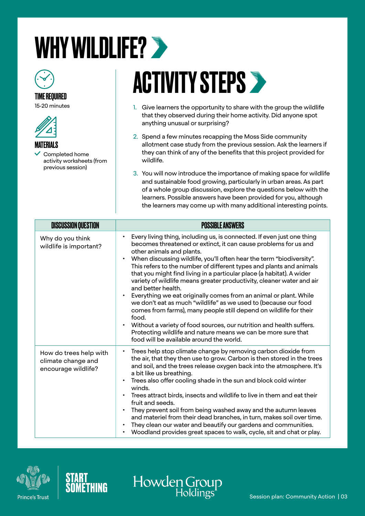# <span id="page-2-0"></span>WHY WILDLIFE? >



TIME REQUIRED 15-20 minutes



MATERIALS

 Completed home activity worksheets (from previous session)

# **ACTIVITY STEPS >**

- 1. Give learners the opportunity to share with the group the wildlife that they observed during their home activity. Did anyone spot anything unusual or surprising?
- 2. Spend a few minutes recapping the Moss Side community allotment case study from the previous session. Ask the learners if they can think of any of the benefits that this project provided for wildlife.
- 3. You will now introduce the importance of making space for wildlife and sustainable food growing, particularly in urban areas. As part of a whole group discussion, explore the questions below with the learners. Possible answers have been provided for you, although the learners may come up with many additional interesting points.

| <b>DISCUSSION QUESTION</b>                                          | <b>POSSIBLE ANSWERS</b>                                                                                                                                                                                                                                                                                                                                                                                                                                                                                                                                                                                                                                                                                                                                                                                                                                                                                  |
|---------------------------------------------------------------------|----------------------------------------------------------------------------------------------------------------------------------------------------------------------------------------------------------------------------------------------------------------------------------------------------------------------------------------------------------------------------------------------------------------------------------------------------------------------------------------------------------------------------------------------------------------------------------------------------------------------------------------------------------------------------------------------------------------------------------------------------------------------------------------------------------------------------------------------------------------------------------------------------------|
| Why do you think<br>wildlife is important?                          | Every living thing, including us, is connected. If even just one thing<br>becomes threatened or extinct, it can cause problems for us and<br>other animals and plants.<br>When discussing wildlife, you'll often hear the term "biodiversity".<br>This refers to the number of different types and plants and animals<br>that you might find living in a particular place (a habitat). A wider<br>variety of wildlife means greater productivity, cleaner water and air<br>and better health.<br>Everything we eat originally comes from an animal or plant. While<br>we don't eat as much "wildlife" as we used to (because our food<br>comes from farms), many people still depend on wildlife for their<br>food.<br>Without a variety of food sources, our nutrition and health suffers.<br>Protecting wildlife and nature means we can be more sure that<br>food will be available around the world. |
| How do trees help with<br>climate change and<br>encourage wildlife? | Trees help stop climate change by removing carbon dioxide from<br>٠<br>the air, that they then use to grow. Carbon is then stored in the trees<br>and soil, and the trees release oxygen back into the atmosphere. It's<br>a bit like us breathing.<br>Trees also offer cooling shade in the sun and block cold winter<br>winds.<br>Trees attract birds, insects and wildlife to live in them and eat their<br>fruit and seeds.<br>They prevent soil from being washed away and the autumn leaves<br>and materiel from their dead branches, in turn, makes soil over time.<br>They clean our water and beautify our gardens and communities.<br>Woodland provides great spaces to walk, cycle, sit and chat or play.                                                                                                                                                                                     |

Howden Group



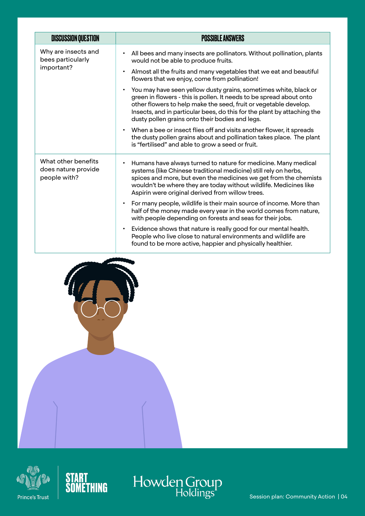| <b>DISCUSSION QUESTION</b>                                 | <b>POSSIBLE ANSWERS</b>                                                                                                                                                                                                                                                                                                                                |
|------------------------------------------------------------|--------------------------------------------------------------------------------------------------------------------------------------------------------------------------------------------------------------------------------------------------------------------------------------------------------------------------------------------------------|
| Why are insects and<br>bees particularly<br>important?     | All bees and many insects are pollinators. Without pollination, plants<br>would not be able to produce fruits.                                                                                                                                                                                                                                         |
|                                                            | Almost all the fruits and many vegetables that we eat and beautiful<br>$\bullet$<br>flowers that we enjoy, come from pollination!                                                                                                                                                                                                                      |
|                                                            | You may have seen yellow dusty grains, sometimes white, black or<br>$\bullet$<br>green in flowers - this is pollen. It needs to be spread about onto<br>other flowers to help make the seed, fruit or vegetable develop.<br>Insects, and in particular bees, do this for the plant by attaching the<br>dusty pollen grains onto their bodies and legs. |
|                                                            | When a bee or insect flies off and visits another flower, it spreads<br>$\bullet$<br>the dusty pollen grains about and pollination takes place. The plant<br>is "fertilised" and able to grow a seed or fruit.                                                                                                                                         |
| What other benefits<br>does nature provide<br>people with? | Humans have always turned to nature for medicine. Many medical<br>systems (like Chinese traditional medicine) still rely on herbs,<br>spices and more, but even the medicines we get from the chemists<br>wouldn't be where they are today without wildlife. Medicines like<br>Aspirin were original derived from willow trees.                        |
|                                                            | For many people, wildlife is their main source of income. More than<br>$\bullet$<br>half of the money made every year in the world comes from nature,<br>with people depending on forests and seas for their jobs.                                                                                                                                     |
|                                                            | Evidence shows that nature is really good for our mental health.<br>$\bullet$<br>People who live close to natural environments and wildlife are<br>found to be more active, happier and physically healthier.                                                                                                                                          |







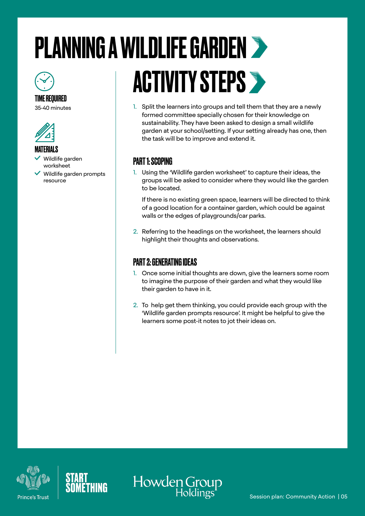# <span id="page-4-0"></span>PLANNING A WILDLIFE GARDEN

TIME REQUIRED 35-40 minutes



#### **MATFRIALS**

- Wildlife garden worksheet
- Wildlife garden prompts resource

# ACTIVITY STEPS

1. Split the learners into groups and tell them that they are a newly formed committee specially chosen for their knowledge on sustainability. They have been asked to design a small wildlife garden at your school/setting. If your setting already has one, then the task will be to improve and extend it.

#### PART 1: SCOPING

1. Using the 'Wildlife garden worksheet' to capture their ideas, the groups will be asked to consider where they would like the garden to be located.

If there is no existing green space, learners will be directed to think of a good location for a container garden, which could be against walls or the edges of playgrounds/car parks.

2. Referring to the headings on the worksheet, the learners should highlight their thoughts and observations.

#### PART 2: GENERATING IDEAS

- 1. Once some initial thoughts are down, give the learners some room to imagine the purpose of their garden and what they would like their garden to have in it.
- 2. To help get them thinking, you could provide each group with the 'Wildlife garden prompts resource'. It might be helpful to give the learners some post-it notes to jot their ideas on.





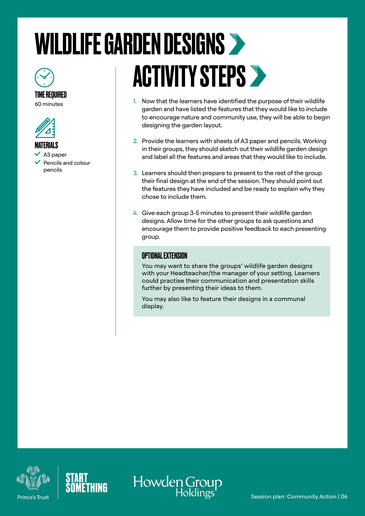## <span id="page-5-0"></span>WILDLIFE GARDEN DESIGNS **ACTIVITY STEPS >**

- 1. Now that the learners have identified the purpose of their wildlife garden and have listed the features that they would like to include to encourage nature and community use, they will be able to begin designing the garden layout.
- 2. Provide the learners with sheets of A3 paper and pencils. Working in their groups, they should sketch out their wildlife garden design and label all the features and areas that they would like to include.
- 3. Learners should then prepare to present to the rest of the group their final design at the end of the session. They should point out the features they have included and be ready to explain why they chose to include them.
- 4. Give each group 3-5 minutes to present their wildlife garden designs. Allow time for the other groups to ask questions and encourage them to provide positive feedback to each presenting group.

#### OPTIONAL EXTENSION

You may want to share the groups' wildlife garden designs with your Headteacher/the manager of your setting. Learners could practise their communication and presentation skills further by presenting their ideas to them.

You may also like to feature their designs in a communal display.



TIME REQUIRED 60 minutes

**MATERIALS**  $\triangle$  A3 paper

pencils

Pencils and colour



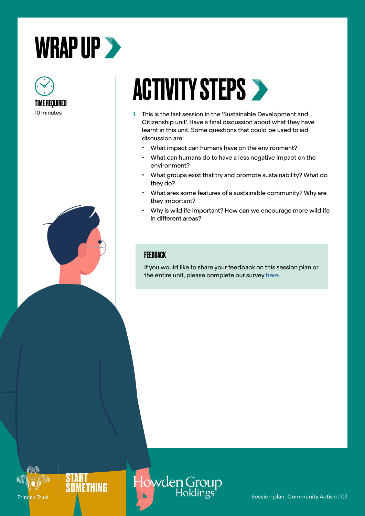# <span id="page-6-0"></span>WRAP UP >





- 1. This is the last session in the 'Sustainable Development and Citizenship unit'. Have a final discussion about what they have learnt in this unit. Some questions that could be used to aid discussion are:
	- What impact can humans have on the environment?
	- What can humans do to have a less negative impact on the environment?
	- What groups exist that try and promote sustainability? What do they do?
	- What ares some features of a sustainable community? Why are they important?
	- Why is wildlife important? How can we encourage more wildlife in different areas?

#### **FEEDBACK**

If you would like to share your feedback on this session plan or the entire unit, please complete our survey here.